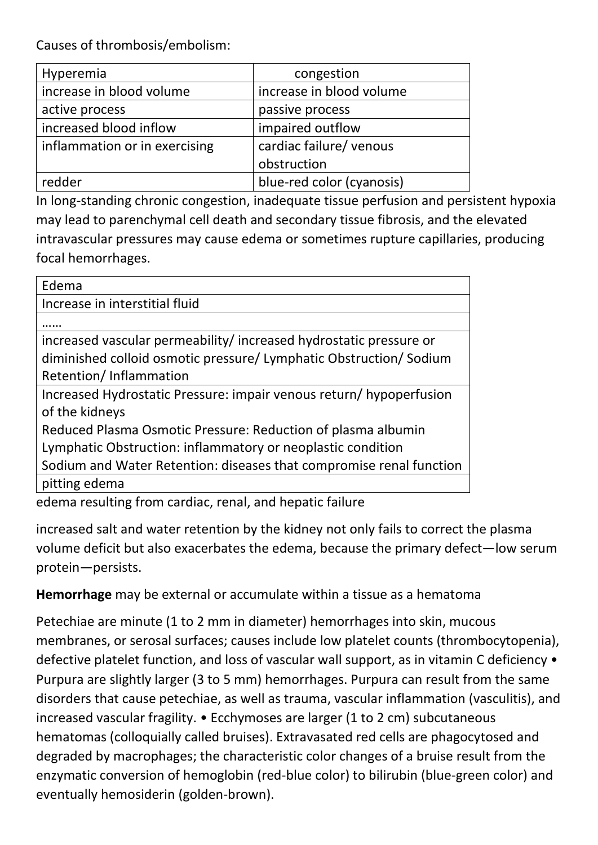Causes of thrombosis/embolism:

| Hyperemia                     | congestion                |
|-------------------------------|---------------------------|
| increase in blood volume      | increase in blood volume  |
| active process                | passive process           |
| increased blood inflow        | impaired outflow          |
| inflammation or in exercising | cardiac failure/ venous   |
|                               | obstruction               |
| redder                        | blue-red color (cyanosis) |

In long-standing chronic congestion, inadequate tissue perfusion and persistent hypoxia may lead to parenchymal cell death and secondary tissue fibrosis, and the elevated intravascular pressures may cause edema or sometimes rupture capillaries, producing focal hemorrhages.

| Edema                                                               |  |
|---------------------------------------------------------------------|--|
| Increase in interstitial fluid                                      |  |
|                                                                     |  |
| increased vascular permeability/increased hydrostatic pressure or   |  |
| diminished colloid osmotic pressure/ Lymphatic Obstruction/ Sodium  |  |
| Retention/Inflammation                                              |  |
| Increased Hydrostatic Pressure: impair venous return/hypoperfusion  |  |
| of the kidneys                                                      |  |
| Reduced Plasma Osmotic Pressure: Reduction of plasma albumin        |  |
| Lymphatic Obstruction: inflammatory or neoplastic condition         |  |
| Sodium and Water Retention: diseases that compromise renal function |  |
| pitting edema                                                       |  |
| edema resulting from cardiac, renal, and hepatic failure            |  |

increased salt and water retention by the kidney not only fails to correct the plasma volume deficit but also exacerbates the edema, because the primary defect—low serum protein—persists.

**Hemorrhage** may be external or accumulate within a tissue as a hematoma

Petechiae are minute (1 to 2 mm in diameter) hemorrhages into skin, mucous membranes, or serosal surfaces; causes include low platelet counts (thrombocytopenia), defective platelet function, and loss of vascular wall support, as in vitamin C deficiency • Purpura are slightly larger (3 to 5 mm) hemorrhages. Purpura can result from the same disorders that cause petechiae, as well as trauma, vascular inflammation (vasculitis), and increased vascular fragility. • Ecchymoses are larger (1 to 2 cm) subcutaneous hematomas (colloquially called bruises). Extravasated red cells are phagocytosed and degraded by macrophages; the characteristic color changes of a bruise result from the enzymatic conversion of hemoglobin (red-blue color) to bilirubin (blue-green color) and eventually hemosiderin (golden-brown).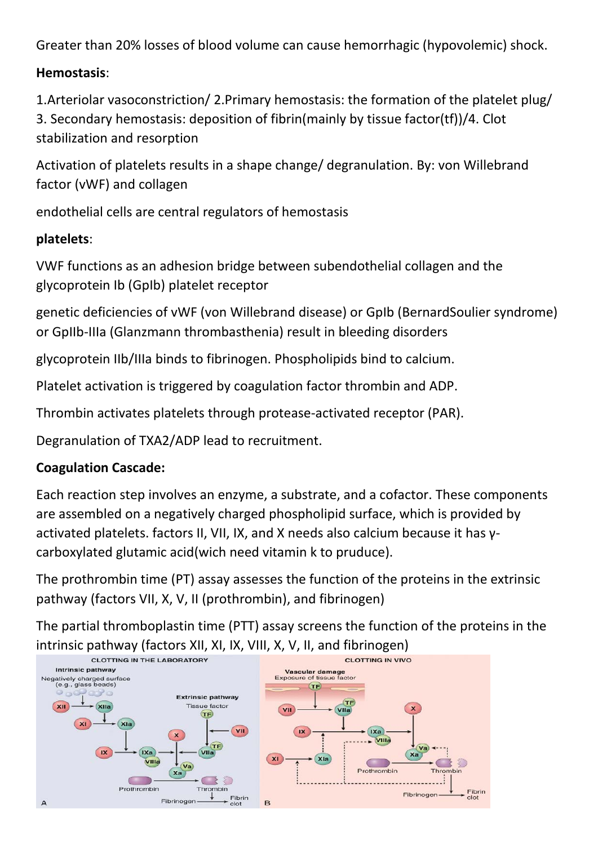Greater than 20% losses of blood volume can cause hemorrhagic (hypovolemic) shock.

#### **Hemostasis**:

1.Arteriolar vasoconstriction/ 2.Primary hemostasis: the formation of the platelet plug/ 3. Secondary hemostasis: deposition of fibrin(mainly by tissue factor(tf))/4. Clot stabilization and resorption

Activation of platelets results in a shape change/ degranulation. By: von Willebrand factor (vWF) and collagen

endothelial cells are central regulators of hemostasis

#### **platelets**:

VWF functions as an adhesion bridge between subendothelial collagen and the glycoprotein Ib (GpIb) platelet receptor

genetic deficiencies of vWF (von Willebrand disease) or GpIb (BernardSoulier syndrome) or GpIIb-IIIa (Glanzmann thrombasthenia) result in bleeding disorders

glycoprotein IIb/IIIa binds to fibrinogen. Phospholipids bind to calcium.

Platelet activation is triggered by coagulation factor thrombin and ADP.

Thrombin activates platelets through protease-activated receptor (PAR).

Degranulation of TXA2/ADP lead to recruitment.

#### **Coagulation Cascade:**

Each reaction step involves an enzyme, a substrate, and a cofactor. These components are assembled on a negatively charged phospholipid surface, which is provided by activated platelets. factors II, VII, IX, and X needs also calcium because it has γcarboxylated glutamic acid(wich need vitamin k to pruduce).

The prothrombin time (PT) assay assesses the function of the proteins in the extrinsic pathway (factors VII, X, V, II (prothrombin), and fibrinogen)

The partial thromboplastin time (PTT) assay screens the function of the proteins in the intrinsic pathway (factors XII, XI, IX, VIII, X, V, II, and fibrinogen)

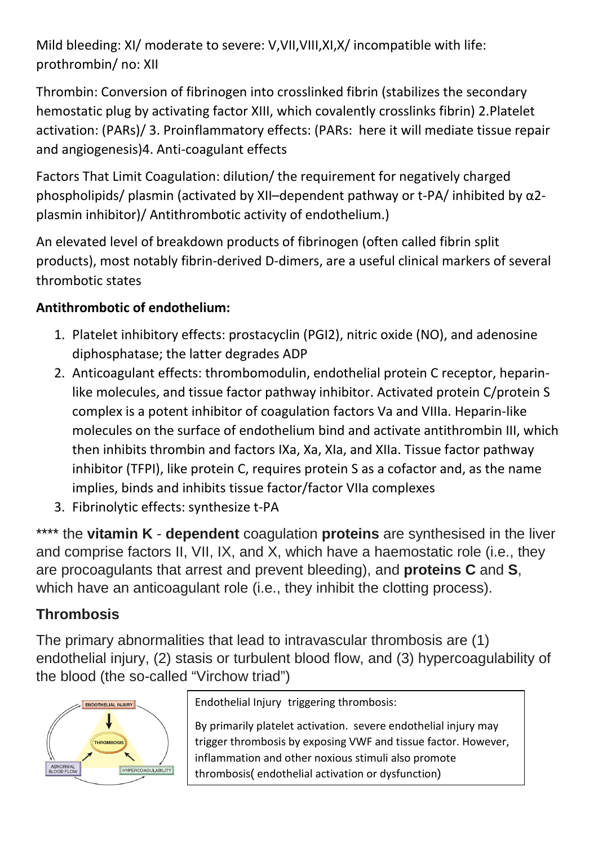Mild bleeding: XI/ moderate to severe: V,VII,VIII,XI,X/ incompatible with life: prothrombin/ no: XII

Thrombin: Conversion of fibrinogen into crosslinked fibrin (stabilizes the secondary hemostatic plug by activating factor XIII, which covalently crosslinks fibrin) 2.Platelet activation: (PARs)/ 3. Proinflammatory effects: (PARs: here it will mediate tissue repair and angiogenesis)4. Anti-coagulant effects

Factors That Limit Coagulation: dilution/ the requirement for negatively charged phospholipids/ plasmin (activated by XII–dependent pathway or t-PA/ inhibited by α2 plasmin inhibitor)/ Antithrombotic activity of endothelium.)

An elevated level of breakdown products of fibrinogen (often called fibrin split products), most notably fibrin-derived D-dimers, are a useful clinical markers of several thrombotic states

### **Antithrombotic of endothelium:**

- 1. Platelet inhibitory effects: prostacyclin (PGI2), nitric oxide (NO), and adenosine diphosphatase; the latter degrades ADP
- 2. Anticoagulant effects: thrombomodulin, endothelial protein C receptor, heparinlike molecules, and tissue factor pathway inhibitor. Activated protein C/protein S complex is a potent inhibitor of coagulation factors Va and VIIIa. Heparin-like molecules on the surface of endothelium bind and activate antithrombin III, which then inhibits thrombin and factors IXa, Xa, XIa, and XIIa. Tissue factor pathway inhibitor (TFPI), like protein C, requires protein S as a cofactor and, as the name implies, binds and inhibits tissue factor/factor VIIa complexes
- 3. Fibrinolytic effects: synthesize t-PA

\*\*\*\* the **vitamin K** - **dependent** coagulation **proteins** are synthesised in the liver and comprise factors II, VII, IX, and X, which have a haemostatic role (i.e., they are procoagulants that arrest and prevent bleeding), and **proteins C** and **S**, which have an anticoagulant role (i.e., they inhibit the clotting process).

# **Thrombosis**

The primary abnormalities that lead to intravascular thrombosis are (1) endothelial injury, (2) stasis or turbulent blood flow, and (3) hypercoagulability of the blood (the so-called "Virchow triad")



Endothelial Injury triggering thrombosis:

By primarily platelet activation. severe endothelial injury may trigger thrombosis by exposing VWF and tissue factor. However, inflammation and other noxious stimuli also promote thrombosis( endothelial activation or dysfunction)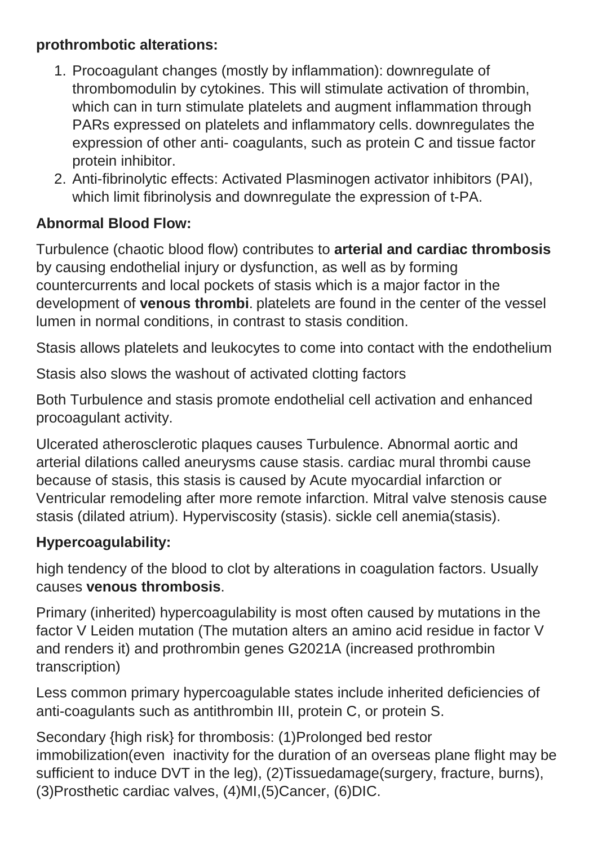### **prothrombotic alterations:**

- 1. Procoagulant changes (mostly by inflammation): downregulate of thrombomodulin by cytokines. This will stimulate activation of thrombin, which can in turn stimulate platelets and augment inflammation through PARs expressed on platelets and inflammatory cells. downregulates the expression of other anti- coagulants, such as protein C and tissue factor protein inhibitor.
- 2. Anti-fibrinolytic effects: Activated Plasminogen activator inhibitors (PAI), which limit fibrinolysis and downregulate the expression of t-PA.

## **Abnormal Blood Flow:**

Turbulence (chaotic blood flow) contributes to **arterial and cardiac thrombosis** by causing endothelial injury or dysfunction, as well as by forming countercurrents and local pockets of stasis which is a major factor in the development of **venous thrombi**. platelets are found in the center of the vessel lumen in normal conditions, in contrast to stasis condition.

Stasis allows platelets and leukocytes to come into contact with the endothelium

Stasis also slows the washout of activated clotting factors

Both Turbulence and stasis promote endothelial cell activation and enhanced procoagulant activity.

Ulcerated atherosclerotic plaques causes Turbulence. Abnormal aortic and arterial dilations called aneurysms cause stasis. cardiac mural thrombi cause because of stasis, this stasis is caused by Acute myocardial infarction or Ventricular remodeling after more remote infarction. Mitral valve stenosis cause stasis (dilated atrium). Hyperviscosity (stasis). sickle cell anemia(stasis).

### **Hypercoagulability:**

high tendency of the blood to clot by alterations in coagulation factors. Usually causes **venous thrombosis**.

Primary (inherited) hypercoagulability is most often caused by mutations in the factor V Leiden mutation (The mutation alters an amino acid residue in factor V and renders it) and prothrombin genes G2021A (increased prothrombin transcription)

Less common primary hypercoagulable states include inherited deficiencies of anti-coagulants such as antithrombin III, protein C, or protein S.

Secondary {high risk} for thrombosis: (1)Prolonged bed restor immobilization(even inactivity for the duration of an overseas plane flight may be sufficient to induce DVT in the leg), (2)Tissuedamage(surgery, fracture, burns), (3)Prosthetic cardiac valves, (4)MI,(5)Cancer, (6)DIC.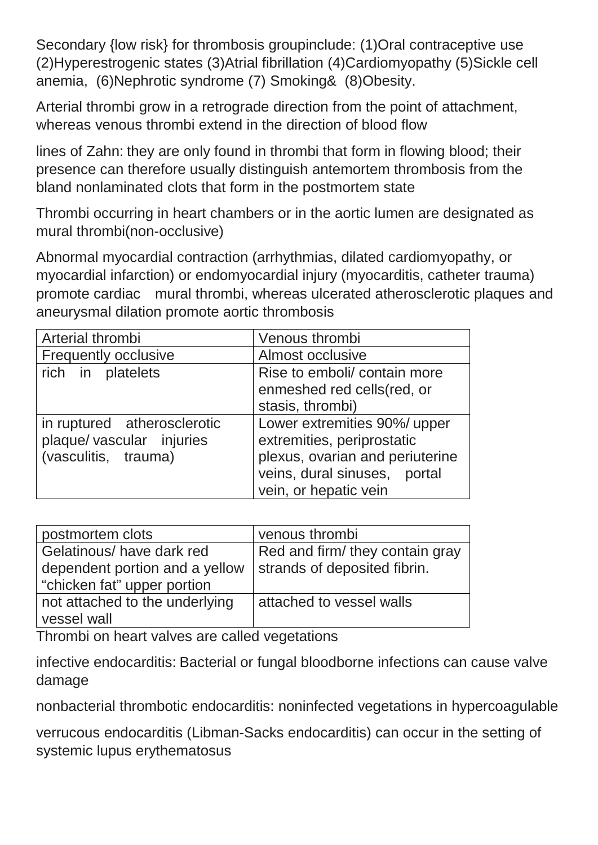Secondary {low risk} for thrombosis groupinclude: (1)Oral contraceptive use (2)Hyperestrogenic states (3)Atrial fibrillation (4)Cardiomyopathy (5)Sickle cell anemia, (6)Nephrotic syndrome (7) Smoking& (8)Obesity.

Arterial thrombi grow in a retrograde direction from the point of attachment, whereas venous thrombi extend in the direction of blood flow

lines of Zahn: they are only found in thrombi that form in flowing blood; their presence can therefore usually distinguish antemortem thrombosis from the bland nonlaminated clots that form in the postmortem state

Thrombi occurring in heart chambers or in the aortic lumen are designated as mural thrombi(non-occlusive)

Abnormal myocardial contraction (arrhythmias, dilated cardiomyopathy, or myocardial infarction) or endomyocardial injury (myocarditis, catheter trauma) promote cardiac mural thrombi, whereas ulcerated atherosclerotic plaques and aneurysmal dilation promote aortic thrombosis

| Arterial thrombi            | Venous thrombi                  |
|-----------------------------|---------------------------------|
| <b>Frequently occlusive</b> | Almost occlusive                |
| rich in platelets           | Rise to emboli/ contain more    |
|                             | enmeshed red cells (red, or     |
|                             | stasis, thrombi)                |
| in ruptured atherosclerotic | Lower extremities 90%/ upper    |
| plaque/vascular injuries    | extremities, periprostatic      |
| (vasculitis, trauma)        | plexus, ovarian and periuterine |
|                             | veins, dural sinuses, portal    |
|                             | vein, or hepatic vein           |

| postmortem clots               | venous thrombi                  |
|--------------------------------|---------------------------------|
|                                |                                 |
| Gelatinous/ have dark red      | Red and firm/ they contain gray |
|                                | strands of deposited fibrin.    |
| dependent portion and a yellow |                                 |
| "chicken fat" upper portion    |                                 |
|                                |                                 |
| not attached to the underlying | attached to vessel walls        |
|                                |                                 |
| vessel wall                    |                                 |
|                                |                                 |

Thrombi on heart valves are called vegetations

infective endocarditis: Bacterial or fungal bloodborne infections can cause valve damage

nonbacterial thrombotic endocarditis: noninfected vegetations in hypercoagulable

verrucous endocarditis (Libman-Sacks endocarditis) can occur in the setting of systemic lupus erythematosus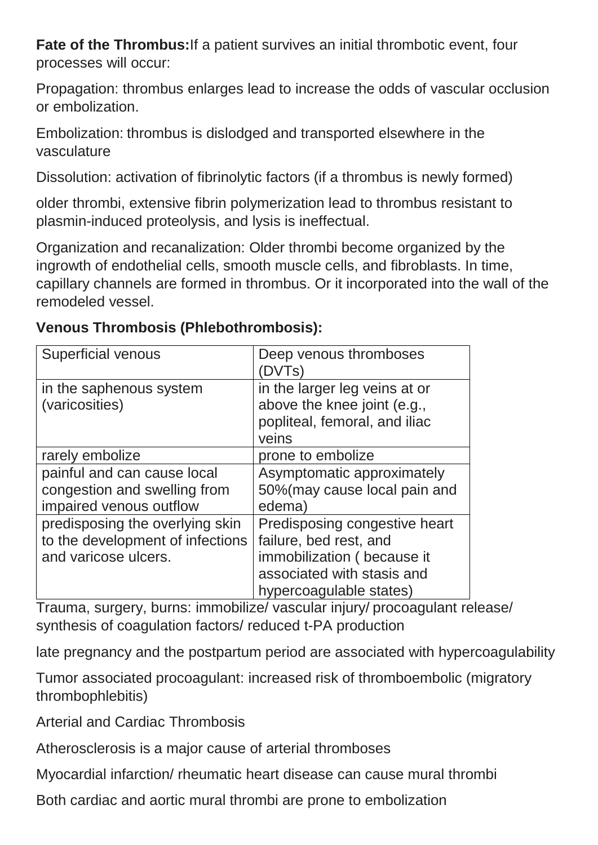**Fate of the Thrombus:**If a patient survives an initial thrombotic event, four processes will occur:

Propagation: thrombus enlarges lead to increase the odds of vascular occlusion or embolization.

Embolization: thrombus is dislodged and transported elsewhere in the vasculature

Dissolution: activation of fibrinolytic factors (if a thrombus is newly formed)

older thrombi, extensive fibrin polymerization lead to thrombus resistant to plasmin-induced proteolysis, and lysis is ineffectual.

Organization and recanalization: Older thrombi become organized by the ingrowth of endothelial cells, smooth muscle cells, and fibroblasts. In time, capillary channels are formed in thrombus. Or it incorporated into the wall of the remodeled vessel.

### **Venous Thrombosis (Phlebothrombosis):**

| <b>Superficial venous</b>                 | Deep venous thromboses<br>(DVTs)                                                                       |
|-------------------------------------------|--------------------------------------------------------------------------------------------------------|
| in the saphenous system<br>(varicosities) | in the larger leg veins at or<br>above the knee joint (e.g.,<br>popliteal, femoral, and iliac<br>veins |
| rarely embolize                           | prone to embolize                                                                                      |
| painful and can cause local               | Asymptomatic approximately                                                                             |
| congestion and swelling from              | 50% (may cause local pain and                                                                          |
| impaired venous outflow                   | edema)                                                                                                 |
| predisposing the overlying skin           | Predisposing congestive heart                                                                          |
| to the development of infections          | failure, bed rest, and                                                                                 |
| and varicose ulcers.                      | immobilization (because it                                                                             |
|                                           | associated with stasis and                                                                             |
|                                           | hypercoagulable states)                                                                                |

Trauma, surgery, burns: immobilize/ vascular injury/ procoagulant release/ synthesis of coagulation factors/ reduced t-PA production

late pregnancy and the postpartum period are associated with hypercoagulability

Tumor associated procoagulant: increased risk of thromboembolic (migratory thrombophlebitis)

Arterial and Cardiac Thrombosis

Atherosclerosis is a major cause of arterial thromboses

Myocardial infarction/ rheumatic heart disease can cause mural thrombi

Both cardiac and aortic mural thrombi are prone to embolization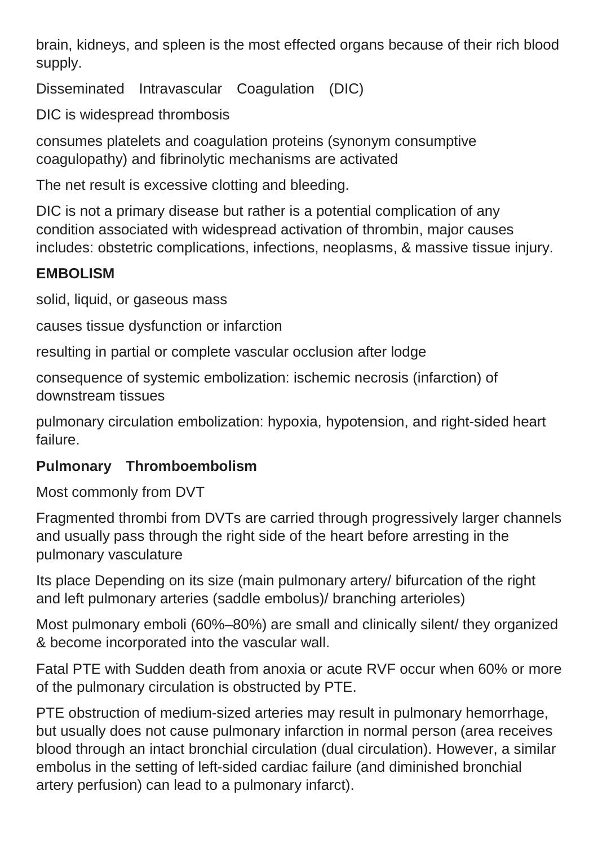brain, kidneys, and spleen is the most effected organs because of their rich blood supply.

Disseminated Intravascular Coagulation (DIC)

DIC is widespread thrombosis

consumes platelets and coagulation proteins (synonym consumptive coagulopathy) and fibrinolytic mechanisms are activated

The net result is excessive clotting and bleeding.

DIC is not a primary disease but rather is a potential complication of any condition associated with widespread activation of thrombin, major causes includes: obstetric complications, infections, neoplasms, & massive tissue injury.

## **EMBOLISM**

solid, liquid, or gaseous mass

causes tissue dysfunction or infarction

resulting in partial or complete vascular occlusion after lodge

consequence of systemic embolization: ischemic necrosis (infarction) of downstream tissues

pulmonary circulation embolization: hypoxia, hypotension, and right-sided heart failure.

## **Pulmonary Thromboembolism**

Most commonly from DVT

Fragmented thrombi from DVTs are carried through progressively larger channels and usually pass through the right side of the heart before arresting in the pulmonary vasculature

Its place Depending on its size (main pulmonary artery/ bifurcation of the right and left pulmonary arteries (saddle embolus)/ branching arterioles)

Most pulmonary emboli (60%–80%) are small and clinically silent/ they organized & become incorporated into the vascular wall.

Fatal PTE with Sudden death from anoxia or acute RVF occur when 60% or more of the pulmonary circulation is obstructed by PTE.

PTE obstruction of medium-sized arteries may result in pulmonary hemorrhage, but usually does not cause pulmonary infarction in normal person (area receives blood through an intact bronchial circulation (dual circulation). However, a similar embolus in the setting of left-sided cardiac failure (and diminished bronchial artery perfusion) can lead to a pulmonary infarct).